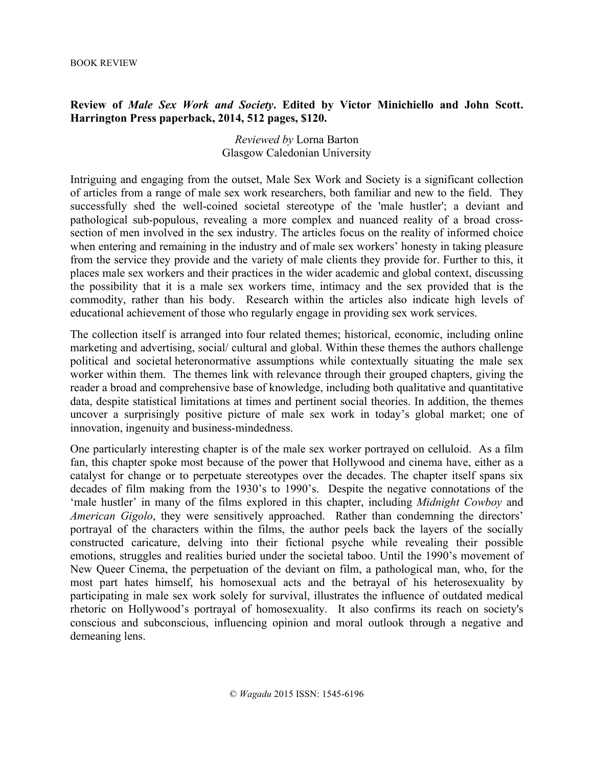## **Review of** *Male Sex Work and Society***. Edited by Victor Minichiello and John Scott. Harrington Press paperback, 2014, 512 pages, \$120.**

## *Reviewed by* Lorna Barton Glasgow Caledonian University

Intriguing and engaging from the outset, Male Sex Work and Society is a significant collection of articles from a range of male sex work researchers, both familiar and new to the field. They successfully shed the well-coined societal stereotype of the 'male hustler'; a deviant and pathological sub-populous, revealing a more complex and nuanced reality of a broad crosssection of men involved in the sex industry. The articles focus on the reality of informed choice when entering and remaining in the industry and of male sex workers' honesty in taking pleasure from the service they provide and the variety of male clients they provide for. Further to this, it places male sex workers and their practices in the wider academic and global context, discussing the possibility that it is a male sex workers time, intimacy and the sex provided that is the commodity, rather than his body. Research within the articles also indicate high levels of educational achievement of those who regularly engage in providing sex work services.

The collection itself is arranged into four related themes; historical, economic, including online marketing and advertising, social/ cultural and global. Within these themes the authors challenge political and societal heteronormative assumptions while contextually situating the male sex worker within them. The themes link with relevance through their grouped chapters, giving the reader a broad and comprehensive base of knowledge, including both qualitative and quantitative data, despite statistical limitations at times and pertinent social theories. In addition, the themes uncover a surprisingly positive picture of male sex work in today's global market; one of innovation, ingenuity and business-mindedness.

One particularly interesting chapter is of the male sex worker portrayed on celluloid. As a film fan, this chapter spoke most because of the power that Hollywood and cinema have, either as a catalyst for change or to perpetuate stereotypes over the decades. The chapter itself spans six decades of film making from the 1930's to 1990's. Despite the negative connotations of the 'male hustler' in many of the films explored in this chapter, including *Midnight Cowboy* and *American Gigolo*, they were sensitively approached. Rather than condemning the directors' portrayal of the characters within the films, the author peels back the layers of the socially constructed caricature, delving into their fictional psyche while revealing their possible emotions, struggles and realities buried under the societal taboo. Until the 1990's movement of New Queer Cinema, the perpetuation of the deviant on film, a pathological man, who, for the most part hates himself, his homosexual acts and the betrayal of his heterosexuality by participating in male sex work solely for survival, illustrates the influence of outdated medical rhetoric on Hollywood's portrayal of homosexuality. It also confirms its reach on society's conscious and subconscious, influencing opinion and moral outlook through a negative and demeaning lens.